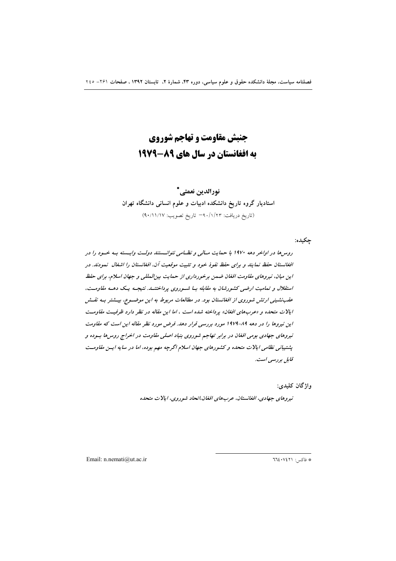# جنبش مقاومت و تهاجم شوروي به افغانستان در سال های ۸۹-۱۹۷۹

# نورالدين نعمتي \*

استادیار گروه تاریخ دانشکده ادبیات و علوم انسانی دانشگاه تهران (تاريخ دريافت: ٩٠/١/٢٣ تاريخ تصويب: ٩٠/١١/١٧)

چکیده:

روس ها در اواخر دهه ۱۹۷۰ با حمایت مسالی و نظـامی نتوانـستند دولـت وابـسته بـه خـود را در افغانستان حفظ نمایند و برای حفظ نفوذ خود و تثبیت موقعیت آن، افغانستان را اشغال نمودند. در این میان، نیروهای مقاومت افغان ضمن برخورداری از حمایت بین المللی و جهان اسلام، برای حفظ استقلال و تمامیت ارضی کشورشان به مقابله با شوروی برداختنی. نتیجیه یک دهیه مقاومت، عقب نشینی ارتش شوروی از افغانستان بود. در مطالعات مربوط به این موضوع، بیشتر بـه نقـش ابالات متحده و «عربهای افغان» برداخته شده است ، اما این مقاله در نظر دارد ظرفیت مقاومت این نیروها را در دهه ۸۹–۱۹۷۹ مورد بررسی قرار دهد. فرض مورد نظر مقاله این است که مقاومت نیروهای جهادی بومی افغان در برابر تهاجم شوروی بنیاد اصلی مقاومت در اخراج روس۵ا بسوده و یشتیبانی نظامی ایالات متحده و کشورهای جهان اسلام اگرچه مهم بوده، اما در سایه ایس مقاومت قابل بررسی است.

واژگان کليدي:

نیږوهای جهادی، افغانستان، عربهای افغان،اتحاد شوروی، ایالات متحده

Email: n.nemati@ut.ac.ir

# فاكس: ٦٦٤٠٧٤٢١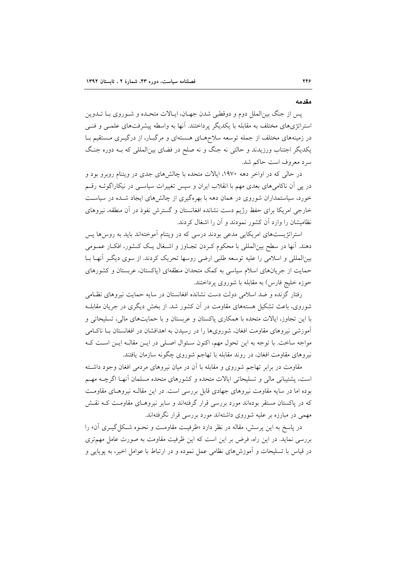#### مقدمه

يس از جنگ بين|لملل دوم و دوقطبي شدن جهــان، ايــالات متحــده و شــوروي بــا تــدوين استراتژیهای مختلف به مقابله با یکدیگر پرداختند. آنها به واسطه پیشرفتهای علمــی و فنــی در زمینههای مختلف از جمله توسعه سلاحهمای هستهای و مرگبـار، از درگیــری مــستقیم بــا یکدیگر اجتناب ورزیدند و حالتی نه جنگ و نه صلح در فضای بینالمللی که بـه دوره جنگ سرد معروف است حاکم شد.

در حالی که در اواخر دهه ۱۹۷۰، ایالات متحده با چالشهای جدی در ویتنام روبرو بود و در پی آن ناکامیهای بعدی مهم با انقلاب ایران و سپس تغییرات سیاسـی در نیکاراگوئــه رقــم خورد، سیاستمداران شوروی در همان دهه با بهرهگیری از چالشهای ایجاد شـده در سیاسـت خارجی امریکا برای حفظ رژیم دست نشانده افغانستان و گسترش نفوذ در آن منطقه، نیروهای نظامیشان را وارد آن کشور نمودند و آن را اشغال کردند.

استراتژیستهای امریکایی مدعی بودند درسی که در ویتنام آموختهاند باید به روس ها پس دهند. آنها در سطح بین|لمللی با محکوم کـردن تجـاوز و اشـغال یـک کـشور، افکـار عمـومی بینالمللی و اسلامی را علیه توسعه طلبی ارضی روسها تحریک کردند. از سوی دیگر آنهـا بــا حمایت از جریانهای اسلام سیاسی به کمک متحدان منطقهای (پاکستان، عربستان و کشورهای حوزه خليج فارس) به مقابله با شوروي پرداختند.

رفتار گزنده و ضد اسلامی دولت دست نشانده افغانستان در سایه حمایت نیروهای نظامی شوروی، باعث تشکیل هستههای مقاومت در اَن کشور شد. از بخش دیگری در جریان مقابلـه با این تجاوز، ایالات متحده با همکاری پاکستان و عربستان و با حمایتهای مالی، تسلیحاتی و آموزشی نیروهای مقاومت افغان، شورویها را در رسیدن به اهدافشان در افغانستان بـا ناکـامی مواجه ساخت. با توجه به این تحول مهم، اکنون سـئوال اصـلی در ایـن مقالـه ایـن اسـت کـه نیروهای مقاومت افغان، در روند مقابله با تهاجم شوروی چگونه سازمان یافتند.

مقاومت در برابر تهاجم شوروی و مقابله با آن در میان نیروهای مردمی افغان وجود داشــته است، پشتیبانی مالی و تسلیحاتی ایالات متحده و کشورهای متحده مسلمان آنهـا اگرچــه مهــم بوده اما در سایه مقاومت نیروهای جهادی قابل بررسی است. در این مقالـه نیروهـای مقاومـت که در پاکستان مستقر بودهاند مورد بررسی قرار گرفتهاند و سایر نیروهـای مقاومـت کـه نقـش مهمی در مبارزه بر علیه شوروی داشتهاند مورد بررسی قرار نگرفتهاند.

در پاسخ به این پرسش، مقاله در نظر دارد «ظرفیت مقاومت و نحـوه شـکل گیـری آن» را بررسی نماید. در این راه، فرض بر این است که این ظرفیت مقاومت به صورت عامل مهم تری در قیاس با تسلیحات و آموزشهای نظامی عمل نموده و در ارتباط با عوامل اخیر، به یوپایی و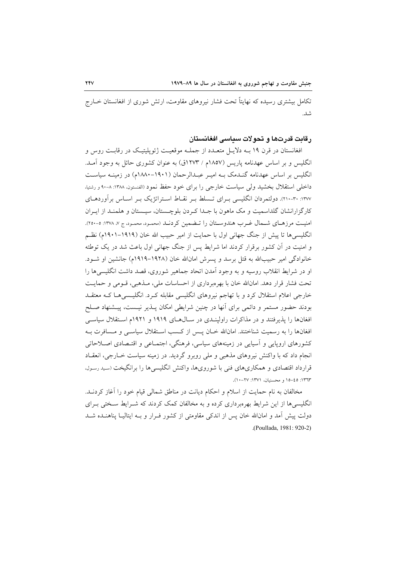تکامل بیشتری رسیده که نهایتاً تحت فشار نیروهای مقاومت، ارتش شوری از افغانستان خــارج شد.

#### رقابت قدرتها و تحولات سياسي افغانستان

افغانستان در قرن ۱۹ بـه دلایـل متعـدد از جملـه موقعیـت ژئوپلیتیـک در رقابـت روس و انگلیس و بر اساس عهدنامه یاریس (۱۸۵۷م / ۱۲۷۳ق) به عنوان کشوری حائل به وجود آمـد. انگلیس بر اساس عهدنامه گنـدمک بـه امیـر عبـدالرحمان (۱۹۰۱–۱۸۸۰م) در زمینـه سیاسـت داخلی استقلال بخشید ولی سیاست خارجی را برای خود حفظ نمود (الفنستون، ۱۳۸۸: ۸-۹۰ و رشتیا، ۱۳۷۷: ۳۰-۲۱۰). دولتمردان انگلیسی بـرای تـسلط بـر نقـاط اسـتراتژیک بـر اسـاس برآوردهـای کارگزارانشان گلداسمیت و مک ماهون با جـدا کـردن بلوچـستان، سیـستان و هلمنـد از ایـران امنیت مرزهای شـمال غـرب هندوسـتان را تـضمین کردنـد (محمـود، محمـود، ج ۷، ۱۳۷۸: ٥-۲۰۰). انگلیسی ها تا پیش از جنگ جهانی اول با حمایت از امیر حبیب الله خان (۱۹۱۹–۱۹۰۱م) نظـم و امنیت در آن کشور برقرار کردند اما شرایط پس از جنگ جهانی اول باعث شد در یک توطئه خانوادگی امیر حبیبالله به قتل برسد و پسرش امانالله خان (۱۹۲۸–۱۹۱۹م) جانشین او شـود. او در شرايط انقلاب روسيه و به وجود آمدن اتحاد جماهير شوروي، قصد داشت انگليسي ها را تحت فشار قرار دهد. امانالله خان با بهرهبرداري از احساسات ملي، مـذهبي، قـومي و حمايـت خارجی اعلام استقلال کرد و با تهاجم نیروهای انگلیسی مقابله کـرد. انگلیــسیهــا کــه معتقــد بودند حضور مستمر و دائمی برای آنها در چنین شرایطی امکان پــذیر نیــست، پیــشنهاد صــلح افغانها را پذیرفتند و در مذاکرات راولپنــدی در ســال۱۹۱۹ و ۱۹۱۹م اسـتقلال سیاسـی افغانها را به رسمیت شناختند. امانالله خـان پـس از کـسب اسـتقلال سیاسـی و مـسافرت بـه کشورهای اروپایی و آسیایی در زمینههای سیاسی، فرهنگی، اجتمــاعی و اقتــصادی اصــلاحاتی انجام داد که با واکنش نیروهای مذهبی و مل<sub>ی</sub> روبرو گردید. در زمینه سیاست خــارجی، انعقــاد قرارداد اقتصادی و همکاریهای فنی با شورویها، واکنش انگلیسیها را برانگیخت (سید رسول. ۱۳٦۳: ٤٥–١٥ و محسنیان، ۱۳۷۱: ۲۷–۱۰).

مخالفان به نام حمایت از اسلام و احکام دیانت در مناطق شمالی قیام خود را آغاز کردنــد. انگلیسیها از این شرایط بهرهبرداری کرده و به مخالفان کمک کردند که شــرایط ســختی بــرای دولت پیش آمد و امانالله خان پس از اندکی مقاومتی از کشور فـرار و بـه ایتالیـا پناهنـده شـد (Poullada, 1981: 920-2)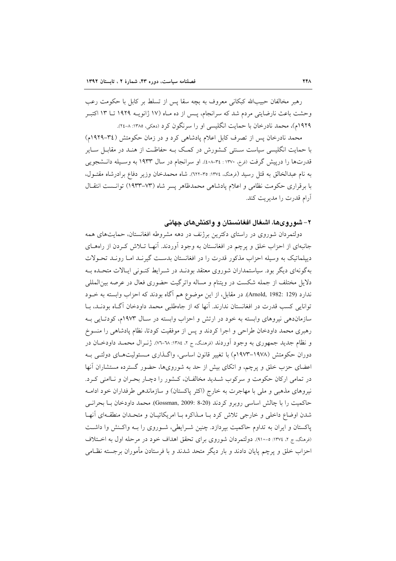رهبر مخالفان حبیبالله کبکانی معروف به بچه سقا پس از تسلط بر کابل با حکومت رعب وحشت باعث نارضایتی مردم شد که سرانجام، پـس از ده مـاه (۱۷ ژانویـه ۱۹۲۹ تــا ۱۳ اکتبـر ۱۹۲۹م)، محمد نادرخان با حمایت انگلیسی او را سرنگون کرد (دهکی، ۱۳۸۵: ۸-۲٤).

محمد نادرخان پس از تصرف کابل اعلام یادشاهی کرد و در زمان حکومتش (٣٤–١٩٢٩م) با حمایت انگلیسی سیاست سـنتی کـشورش در کمـک بـه حفاظـت از هنـد در مقابــل ســایر قدرتها را درپیش گرفت (فرخ، ۱۳۷۰ : ۲۴–۶۰۸). او سرانجام در سال ۱۹۳۳ به وسـیله دانـشجویی به نام عبدالخالق به قتل رسيد (فرمنگ، ١٣٧٤: ٣٥-٦٢٢). شاه محمدخان وزير دفاع برادرشاه مقتـول، با برقراری حکومت نظامی و اعلام پادشاهی محمدظاهر پسر شاه (٧٣-١٩٣٣) توانست انتقال آرام قدرت را مديريت كند.

#### ۲– شور و یها، اشغال افغانستان و و اکنشهای جهانی

دولتمردان شوروی در راستای دکترین برژنف در دهه مشروطه افغانستان، حمایتهای همه جانبهای از احزاب خلق و پرچم در افغانستان به وجود آوردند. آنهـا تـلاش کـردن از راههـای دیپلماتیک به وسیله احزاب مذکور قدرت را در افغانستان بدست گیرنـد امـا رونـد تحـولات بهگونهای دیگر بود. سیاستمداران شوروی معتقد بودنـد در شـرایط کنـونی ایـالات متحـده بـه دلایل مختلف از جمله شکست در ویتنام و مساله واترگیت حضوری فعال در عرصه بین|لمللی ندارد (Arnold, 1982: 129). در مقابل، از این موضوع هم آگاه بودند که احزاب وابسته به خــود توانایی کسب قدرت در افغانستان ندارند. آنها که از جاهطلبی محمد داودخان آگاه بودنـد، بـا سازماندهی نیروهای وابسته به خود در ارتش و احزاب وابسته در سال ۱۹۷۳م، کودتایی بـه رهبری محمد داودخان طراحی و اجرا کردند و پس از موفقیت کودتا، نظام پادشاهی را منسوخ و نظام جدید جمهوری به وجود آوردند (فرهنگ، ج ۲، ۱۳۸٤: ۲۸-۷۲). ژنـرال محمـد داودخـان در دوران حکومتش (۱۹۷۸–۱۹۷۳م) با تغییر قانون اساسی، واگـذاری مـسئولیتهـای دولتـی بـه اعضای حزب خلق و پرچم، و اتکای بیش از حد به شورویها، حضور گسترده مستشاران آنها در تمامي اركان حكومت و سركوب شـديد مخالفـان، كـشور را دچـار بحـران و نـاامنى كـرد. نیروهای مذهبی و ملی با مهاجرت به خارج (اکثر پاکستان) و سازماندهی طرفداران خود ادامـه حاكميت را با چالش اساسي روبرو كردند (30-8 :Gossman, 2009) محمد داودخان بـا بحرانـي شدن اوضاع داخلی و خارجی تلاش کرد بـا مـذاکره بـا امریکائیـان و متحـدان منطقـهای آنهـا پاکستان و ایران به تداوم حاکمیت بیردازد. چنین شـرایطی، شـوروی را بـه واکـنش وا داشـت (فرهنگ، ج ۲، ۱۳۷٤: ه-۹۱۰). دولتمردان شوروی برای تحقق اهداف خود در مرحله اول به اختلاف احزاب خلق و پرچم پایان دادند و بار دیگر متحد شدند و با فرستادن مأموران برجسته نظـامی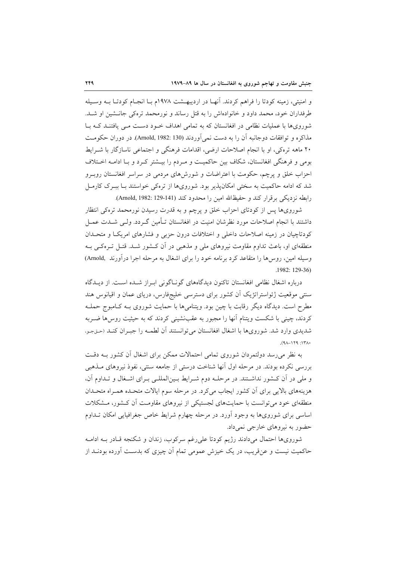و امنیتی، زمینه کودتا را فراهم کردند. آنهـا در اردیبهـشت ۱۹۷۸م بـا انجـام کودتـا بــه وسـیله طرفداران خود، محمد داود و خانوادهاش را به قتل رساند و نورمحمد ترهکی جانــشین او شــد. شورویها با عملیات نظامی در افغانستان که به تمامی اهداف خـود دسـت مـی یافتنـد کـه بـا مذاکره و توافقات دوجانبه آن را به دست نمی آوردند (Arnold, 1982: 130). در دوران حکومت ۲۰ ماهه ترهکی، او با انجام اصلاحات ارضی، اقدامات فرهنگی و اجتماعی ناسازگار با شـرایط بومی و فرهنگی افغانستان، شکاف بین حاکمیت و مـردم را بیــشتر کـرد و بــا ادامــه اخــتلاف احزاب خلق و پرچم، حکومت با اعتراضات و شورشهای مردمی در سراسر افغانستان روبـرو شد که ادامه حاکمیت به سختی امکان پذیر بود. شورویها از ترهکی خواستند بـا ببـرک کارمـل رابطه نزدیکی برقرار کند و حفیظالله امین را محدود کند (Arnold, 1982: 129-141).

شورویها پس از کودتای احزاب خلق و پرچم و به قدرت رسیدن نورمحمد ترهکی انتظار داشتند با انجام اصلاحات مورد نظرشان امنیت در افغانستان تـأمین گـردد. ولـی شــدت عمــل کودتاچیان در زمینه اصلاحات داخلی و اختلافات درون حزبی و فشارهای امریکا و متحدان منطقهای او، باعث تداوم مقاومت نیروهای ملی و مذهبی در آن کـشور شـد. قتـل تـرهکـی بـه وسیله امین، روس ها را متقاعد کرد برنامه خود را برای اشغال به مرحله اجرا درآورند (Arnold  $.1982:129-36$ 

درباره اشغال نظامی افغانستان تاکنون دیدگاههای گونـاگونی ابـراز شـده اسـت. از دیــدگاه سنتی موقعیت ژئواستراتژیک آن کشور برای دسترسی خلیجفارس، دریای عمان و اقیانوس هند مطرح است. دیدگاه دیگر رقابت با چین بود. ویتنامیها با حمایت شوروی بـه کـامبوج حملـه کردند، چینی با شکست ویتنام آنها را مجبور به عقبنشینی کردند که به حیثیت روس۵ا ضـربه شدیدی وارد شد. شورویها با اشغال افغانستان می توانستند آن لطمـه را جبـران کنـد (حـقجـو،  $(9\lambda - 179.174)$ 

به نظر می رسد دولتمردان شوروی تمامی احتمالات ممکن برای اشغال آن کشور بـه دقـت بررسی نکرده بودند. در مرحله اول آنها شناخت درستی از جامعه سنتی، نفوذ نیروهای مــذهبی و ملم ودر آن کشور نداشتند. در مرحله دوم شرایط بینالمللـی بـرای اشـغال و تـداوم آن، هزینههای بالایی برای آن کشور ایجاب می کرد. در مرحله سوم ایالات متحـده همـراه متحـدان منطقهای خود می توانست با حمایتهای لجستیکی از نیروهای مقاومت آن کـشور، مـشکلات اساسی برای شورویها به وجود آورد. در مرحله چهارم شرایط خاص جغرافیایی امکان تـداوم حضور به نیروهای خارجی نمی داد.

شورویها احتمال میدادند رژیم کودتا علی رغم سرکوب، زندان و شکنجه قـادر بـه ادامـه حاکمیت نیست و عنقریب، در یک خیزش عمومی تمام اَن چیزی که بدسـت اَورده بودنــد از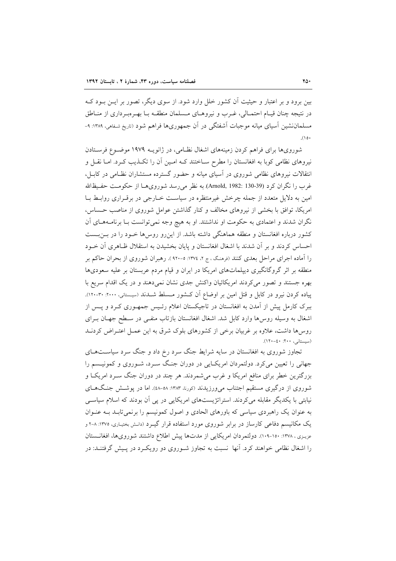بین برود و بر اعتبار و حیثیت آن کشور خلل وارد شود. از سوی دیگر، تصور بر ایــن بــود کــه در نتیجه چنان قیـام احتمـالی، غـرب و نیروهـای مـسلمان منطقـه بـا بهـرهبـرداری از منـاطق مسلماننشین آسیای میانه موجبات آشفتگی در آن جمهوریها فراهم شود (تاریخ شفاهی، ۱۳۸۹: ۹- $(10)$ 

شورویها برای فراهم کردن زمینههای اشغال نظامی، در ژانویـه ۱۹۷۹ موضـوع فرسـتادن نیروهای نظامی کوبا به افغانستان را مطرح سـاختند کـه امـین آن را تکــذیب کــرد. امــا نقــل و انتقالات نیروهای نظامی شوروی در آسیای میانه و حضور گسترده مستشاران نظـامی در کابـ) ، غرب را نگران کرد (Arnold, 1982: 130-39) به نظر می رسد شوروی هــا از حکومــت حفـيظالله امین به دلایل متعدد از جمله چرخش غیرمنتظره در سیاست خـارجی در برقـراری روابـط بـا امریکا، توافق با بخشی از نیروهای مخالف و کنار گذاشتن عوامل شوروی از مناصب حساس، نگران شدند و اعتمادی به حکومت او نداشتند. او به هیچ وجه نمی توانست بـا برنامـههـای آن کشور درباره افغانستان و منطقه هماهنگی داشته باشد. از این رو روس۵ا خـود را در بـن بـست احساس کردند و بر آن شدند با اشغال افغانستان و پایان بخشیدن به استقلال ظـاهری آن خـود را آماده اجرای مراحل بعدی کنند (فرهنگ، ج ۲، ۱۳۷٤: ه-۹۲۰). رهبران شوروی از بحران حاکم بر منطقه بر اثر گروگانگیری دیپلماتهای امریکا در ایران و قیام مردم عربستان بر علیه سعودیها بهره جستند و تصور می کردند امریکائیان واکنش جدی نشان نمی دهند و در یک اقدام سریع با پیاده کردن نیرو در کابل و قتل امین بر اوضاع آن کشور مـسلط شـدند (سیـستانی، ۲۰۰۰: ۳۰-۱۲۰). ببرک کارمل پیش از آمدن به افغانستان در تاجیکستان اعلام رئـیس جمهـوری کـرد و پـس از اشغال به وسیله روس۵ها وارد کابل شد. اشغال افغانستان بازتاب منفـی در سـطح جهـان بـرای روسها داشت، علاوه بر غربیان برخی از کشورهای بلوک شرق به این عمـل اعتـراض کردنــد (سيستانى، ٢٠٠: ٤٠-١٢٠).

تجاوز شوروی به افغانستان در سایه شرایط جنگ سرد رخ داد و جنگ سرد سیاستهای جهانی را تعیین میکرد. دولتمردان امریک ایی در دوران جنگ سـرد، شـوروی و کمونیـسم را بزرگترین خطر برای منافع امریکا و غرب میشمردند. هر چند در دوران جنگ سـرد امریکـا و شوروی از درگیری مستقیم اجتناب می ورزیدند (کورنا، ۱۳۸۳: ۵۸-۵۸). اما در پوشش جنگهـای نیابتی با یکدیگر مقابله می کردند. استراتژیستهای امریکایی در پی آن بودند که اسلام سیاسی به عنوان یک راهبردی سیاسی که باورهای الحادی و اصول کمونیسم را برنمی تابـد بــه عنــوان یک مکانیسم دفاعی کارساز در برابر شوروی مورد استفاده قرار گیـرد (دانـش بختیـاری، ۱۳۷۵: ۸-۲ و عزیـزی ، ۱۳۷۸: ۱۰۰-۱۰۹). دولتمردان امریکایی از مدتها پیش اطلاع داشتند شورویها، افغانـستان را اشغال نظامی خواهند کرد. آنها نسبت به تجاوز شـوروی دو رویکـرد در پـیش گرفتنـد: در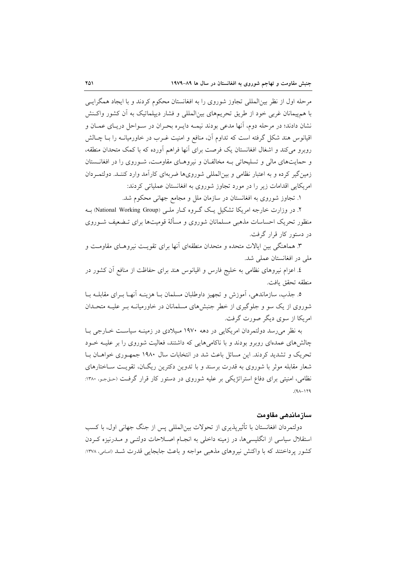مرحله اول از نظر بینالمللی تجاوز شوروی را به افغانستان محکوم کردند و با ایجاد همگرایسی با همهیمانان غربی خود از طریق تحریمهای بین|لمللی و فشار دیپلماتیک به اَن کشور واکـنش نشان دادند؛ در مرحله دوم، آنها مدعی بودند نیمـه دایـره بحـران در سـواحل دریـای عمـان و اقیانوس هند شکل گرفته است که تداوم آن، منافع و امنیت غــرب در خاورمیانــه را بــا چــالش روبرو می کند و اشغال افغانستان یک فرصت برای آنها فراهم آورده که با کمک متحدان منطقه، و حمایتهای مالی و تسلیحاتی بـه مخالفـان و نیروهـای مقاومـت، شـوروی را در افغانـستان زمین گیر کرده و به اعتبار نظامی و بینالمللی شورویها ضربهای کارآمد وارد کننـد. دولتمـردان امریکایی اقدامات زیر را در مورد تجاوز شوروی به افغانستان عملیاتی کردند:

۱. تجاوز شوروی به افغانستان در سازمان ملل و مجامع جهانی محکوم شد.

۲. در وزارت خارجه امریکا تشکیل یک گـروه کـار ملـی (National Working Group) بـه منظور تحریک احساسات مذهبی مسلمانان شوروی و مسألهٔ قومیتها برای تـضعیف شـوروی در دستور کار قرار گرفت.

۳. هماهنگی بین ایالات متحده و متحدان منطقهای آنها برای تقویت نیروهـای مقاومـت و ملی در افغانستان عملی شد.

٤. اعزام نيروهاي نظامي به خليج فارس و اقيانوس هند براي حفاظت از منافع أن كشور در منطقه تحقق بافت.

٥. جذب، سازماندهي، آموزش و تجهيز داوطلبان مسلمان بـا هزينـه آنهـا بـراى مقابلــه بـا شوروی از یک سو و جلوگیری از خطر جنبشهای مسلمانان در خاورمیانــه بــر علیــه متحــدان امریکا از سوی دیگر صورت گرفت.

به نظر میرسد دولتمردان امریکایی در دهه ۱۹۷۰ میلادی در زمینـه سیاسـت خـارجی بـا چالشهای عمدهای روبرو بودند و با ناکامیهایی که داشتند، فعالیت شوروی را بر علیـه خـود تحریک و تشدید کردند. این مسائل باعث شد در انتخابات سال ۱۹۸۰ جمهوری خواهـان بـا شعار مقابله موثر با شوروی به قدرت برسند و با تدوین دکترین ریگـان، تقویـت سـاختارهای نظامی، امنیتی برای دفاع استراتژیکی بر علیه شوروی در دستور کار قرار گرفت (حـقجـو، ۱۳۸۰:  $(91 - 179)$ 

#### سازماندھے مقاومت

دولتمردان افغانستان با تأثیرپذیری از تحولات بین|لمللی پس از جنگ جهانی اول، با کسب استقلال سیاسی از انگلیسیها، در زمینه داخلی به انجـام اصـلاحات دولتـی و مـدرنیزه کـردن کشور پرداختند که با واکنش نیروهای مذهبی مواجه و باعث جابجایی قدرت شـد (اسامی، ۱۳۷۸: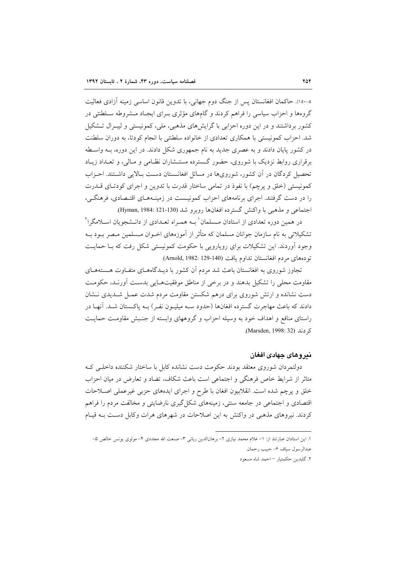ه-١٥٠). حاکمان افغانستان پس از جنگ دوم جهانی، با تدوین قانون اساسی زمینه آزادی فعالیت گروهها و احزاب سیاسی را فراهم کردند و گامهای مؤثری بـرای ایجـاد مـشروطه سـلطنتی در کشور برداشتند و در این دوره احزابی با گرایشهای مذهبی، ملی، کمونیستی و لیبـرال تــشکیل شد. احزاب کمونیستی با همکاری تعدادی از خانواده سلطنتی با انجام کودتا، به دوران سلطنت در کشور پایان دادند و به عصری جدید به نام جمهوری شکل دادند. در این دوره، بـه واسـطه برقراری روابط نزدیک با شوروی، حضور گسترده مستـشاران نظـامی و مـالی، و تعـداد زیـاد تحصیل کردگان در آن کشور، شورویها در مسائل افغانـستان دسـت بـالایی داشـتند. احـزاب كمونيستي (خلق و يرچم) با نفوذ در تمامي ساختار قدرت با تدوين و اجراي كودتـاي قــدرت را در دست گرفتند. اجرای برنامههای احزاب کمونیـست در زمینـههـای اقتـصادی، فرهنگـی، اجتماعي و مذهبي با واكنش گسترده افغانها روبرو شد (Hyman, 1984: 121-130).

در همین دوره تعدادی از استادان مـسلمان<sup>\</sup> بـه همـراه تعـدادی از دانـشجو یان اسـلامگرا<sup>۲</sup> تشکیلاتی به نام سازمان جوانان مسلمان که متأثر از آموزههای اخــوان مــسلمین مـصر بــود بــه وجود آوردند. این تشکیلات برای رویارویی با حکومت کمونیستی شکل رفت که بـا حمایـت تودههاى مردم افغانستان تداوم يافت (Arnold, 1982: 129-140).

تجاوز شوروی به افغانستان باعث شد مردم آن کشور با دیـدگاههـای متفـاوت هـستههـای مقاومت محلی را تشکیل بدهند و در برخی از مناطق موفقیتهـایی بدسـت آورنـد، حکومـت دست نشانده و ارتش شوروی برای درهم شکستن مقاومت مردم شدت عمـل شــدیدی نــشان دادند که باعث مهاجرت گسترده افغانها (حدود سـه میلیـون نفـر) بـه پاکـستان شـد. آنهـا در راستای منافع و اهداف خود به وسیله احزاب و گروههای وابسته از جنـبش مقاومـت حمایـت كردند (Marsden, 1998: 32).

#### ندروهای جهادی افغان

دولتمردان شوروى معتقد بودند حكومت دست نشانده كابل با ساختار شكننده داخلـى ك متاثر از شرایط خاص فرهنگی و اجتماعی است باعث شکاف، تضاد و تعارض در میان احزاب خلق و پرچم شده است. انقلابیون افغان با طرح و اجرای ایدههای حزبی غیرعملی اصلاحات اقتصادی و اجتماعی در جامعه سنتی، زمینههای شکل گیری نارضایتی و مخالفت مردم را فراهم کردند. نیروهای مذهبی در واکنش به این اصلاحات در شهرهای هرات وکابل دست بـه قیـام

١. اين استادان عبارتند از: ١- غلام محمد نيازي ٢- برهانالدين رباني ٣- صنعت الله مجددي ۴- مولوي يونس خالص ٥-عبدالرسول سياف ۶- حبيب رحمان

٢. گلبدين حكمتيار – احمد شاه مسعود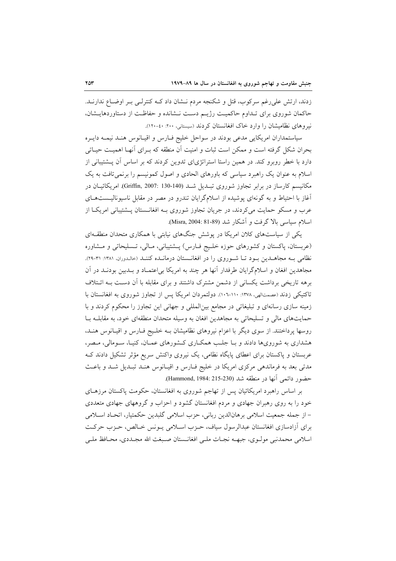زدند، ارتش علی رغم سرکوب، قتل و شکنجه مردم نـشان داد کــه کنترلـی بــر اوضــاع ندارنــد. حاکمان شوروی برای تـداوم حاکمیـت رژیـم دسـت نـشانده و حفاظـت از دستاوردهایـشان، نیروهای نظامیشان را وارد خاک افغانستان کردند (سیستانی، ۲۰۰: ٤٠-۱۲۰).

سیاستمداران امریکایی مدعی بودند در سواحل خلیج فیارس و اقیبانوس هنبد نیمیه دایبره بحران شکل گرفته است و ممکن است ثبات و امنیت آن منطقه که بـرای آنهـا اهمیـت حیـاتی دارد با خطر روبرو کند. در همین راستا استراتژیای تدوین کردند که بر اساس آن پـشتیبانی از اسلام به عنوان یک راهبرد سیاسی که باورهای الحادی و اصول کمونیسم را برنمی تافت به یک مکانیسم کارساز در برابر تجاوز شوروی تبـدیل شـد (Griffin, 2007: 130-140). امریکائیـان در آغاز با احتیاط و به گونهای پوشیده از اسلامگرایان تندرو در مصر در مقابل ناسیونالیـستهـای عرب و مسکو حمایت میکردند، در جریان تجاوز شوروی بـه افغانــستان پــشتیبانی امریکــا از اسلام سیاسی بالا گرفت و آشکار شد (89-81 :Misra, 2004).

یکی از سیاستهای کلان امریکا در پوشش جنگهای نیابتی با همکاری متحدان منطقـهای (عربستان، پاکستان و کشورهای حوزه خلیج فـارس) پـشتیبانی، مـالی، تـسلیحاتی و مـشاوره نظامی بـه مجاهــدین بــود تــا شــوروی را در افغانــستان درمانــده کننــد (خالـدوران، ۱۳۸۱: ۳۱-۲۹). مجاهدین افغان و اسلامگرایان طرفدار آنها هر چند به امریکا بی|عتمـاد و بـدبین بودنـد در آن برهه تاریخی برداشت یکسانی از دشمن مشترک داشتند و برای مقابله با آن دسـت بـه ائـتلاف تاکتیکی زدند (عصمتالهی، ۱۳۷۸: ۱۰۱-۱۰۳). دولتمردان امریکا پس از تجاوز شوروی به افغانستان با زمینه سازی رسانهای و تبلیغاتی در مجامع بینالمللی و جهانی این تجاوز را محکوم کردند و با حمایتهای مالی و تسلیحاتی به مجاهدین افغان به وسیله متحدان منطقهای خود، به مقابلـه بـا روسها پرداختند. از سوی دیگر با اعزام نیروهای نظامیشان بـه خلـیج فـارس و اقیـانوس هنـد، هشداری به شورویها دادند و بـا جلـب همکـاری کـشورهای عمـان، کنیـا، سـومالی، مـصر، عربستان و پاکستان برای اعطای پایگاه نظامی، یک نیروی واکنش سریع مؤثر تشکیل دادند ک مدتی بعد به فرماندهی مرکزی امریکا در خلیج فـارس و اقیـانوس هنـد تبـدیل شـد و باعـث حضور دائمي آنها در منطقه شد (Hammond, 1984: 215-230).

بر اساس راهبرد امریکائیان پس از تهاجم شوروی به افغانستان، حکومت پاکستان مرزهـای خود را به روی رهبران جهادی و مردم افغانستان گشود و احزاب و گروههای جهادی متعددی - از جمله جمعیت اسلامی برهانالدین ربانی، حزب اسلامی گلبدین حکمتیار، اتحـاد اسـلامی براي آزادسازي افغانستان عبدالرسول سياف، حـزب اسـلامي پـونس خـالص، حـزب حركـت اسلامي محمدنبي مولــوي، جبهــه نجــات ملــي افغانــستان صــبغت الله مجــددي، محــافظ ملــي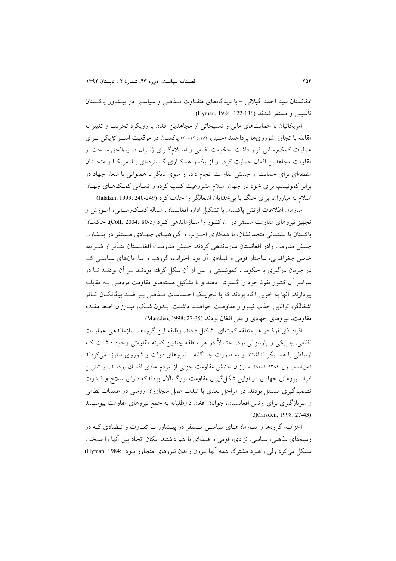افغانستان سید احمد گیلانی – با دیدگاههای متفـاوت مــذهبی و سیاســی در پیــشاور پاکــستان تأسيس و مستقر شدند (Hyman, 1984: 122-136).

امریکائیان با حمایتهای مالی و تسلیحاتی از مجاهدین افغان با رویکرد تخریب و تغییر به مقابله با تجاوز شورویها پرداختند (حسینی، ۱۳۸۳: ۲۳-۲۰) پاکستان در موقعیت استراتژیکی بـرای عملیات کمک رسانی قرار داشت. حکومت نظامی و اسلامگرای ژنـرال ضـپاءالحق سـخت از مقاومت مجاهدین افغان حمایت کرد. او از یکسو همکـاری گـستردهای بـا امریکـا و متحـدان منطقهای برای حمایت از جنبش مقاومت انجام داد، از سوی دیگر با همنوایی با شعار جهاد در برابر کمونیسم، برای خود در جهان اسلام مشروعیت کسب کرده و تمـامی کمـکهـای جهـان اسلام به مبارزان، برای جنگ با بی خدایان اشغالگر را جذب کرد (249-240 :1999). Jalalzai, 1999)

سازمان اطلاعات ارتش پاکستان با تشکیل اداره افغانستان، مساله کمــکرســانی، آمــوزش و تجهیز نیروهای مقاومت مستقر در آن کشور را سـازماندهی کـرد (Coll, 2004: 80-5). حاکمـان پاکستان با پشتیبانی متحدانشان، با همکاری احـزاب و گروههـای جهـادی مـستقر در پیـشاور، جنبش مقاومت رادر افغانستان سازماندهي كردند. جنبش مقاومـت افغانــستان متـأثر از شــرايط خاص جغرافیایی، ساختار قومی و قبیلهای آن بود. احزاب، گروهها و سازمانهای سیاسی ک در جریان درگیری با حکومت کمونیستی و پس از آن شکل گرفته بودنـد بـر آن بودنـد تــا در سراسر آن کشور نفوذ خود را گسترش دهند و با تشکیل هستههای مقاومت مردمـی بــه مقابلــه بپردازند. آنها به خوبی آگاه بودند که با تحریـک احـساسات مـذهبی بـر ضـد بیگانگــان کــافر اشغالگر، توانایی جذب نیـرو و مقاومـت خواهنـد داشـت. بـدون شـک، مبـارزان خـط مقـدم مقاومت، نيروهاي جهادي و ملي افغان بو دند (17-27 :Marsden, 1998).

افراد ذي نفوذ در هر منطقه كميتهاي تشكيل دادند. وظيفه اين گروهها، سازماندهي عمليـات نظامی، چریکی و پارتیزانی بود. احتمالاً در هر منطقه چندین کمیته مقاومتی وجود داشـت کـه ارتباطی با همدیگر نداشتند و به صورت جداگانه با نیروهای دولت و شوروی مبارزه می کردند (علیزاده موسوی، ۱۳۸۱: ۵-۸۱). مبارزان جنبش مقاومت حزبی از مردم عادی افغـان بودنـد. بیــشترین افراد نیروهای جهادی در اوایل شکل گیری مقاومت بزرگسالان بودندکه دارای سلاح و قـــدرت تصمیمگیری مستقل بودند. در مراحل بعدی با شدت عمل متجاوزان روسی در عملیات نظامی و سربازگیری برای ارتش افغانستان، جوانان افغان داوطلبانه به جمع نیروهای مقاومت پیوستند (Marsden, 1998; 27-43)

احزاب، گروهها و سـازمانهـای سیاسـی مـستقر در پیـشاور بـا تفـاوت و تـضادی کـه در زمینههای مذهبی، سیاسی، نژادی، قومی و قبیلهای با هم داشتند امکان اتحاد بین آنها را سـخت مشکل می کرد ولی راهبرد مشترک همه آنها بیرون راندن نیروهای متجاوز بـود :Hyman, 1984)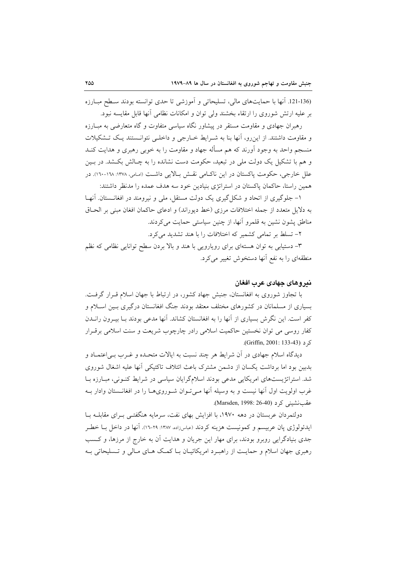(136-121. آنها با حمايتهاى مالي، تسليحاتي و آموزشي تا حدى توانسته بودند سـطح مبـارزه بر عليه ارتش شوروي را ارتقاء بخشند ولي توان و امكانات نظامي أنها قابل مقايسه نبود.

رهبران جهادی و مقاومت مستقر در پیشاور نگاه سیاسی متفاوت و گاه متعارضی به مبـارزه و مقاومت داشتند. از این رو، آنها بنا به شـرایط خـارجی و داخلـی نتوانـستند یـک تـشکیلات منسجم واحد به وجود آورند که هم مسأله جهاد و مقاومت را به خوبی رهبری و هدایت کنــد و هم با تشکیل یک دولت ملی در تبعید، حکومت دست نشانده را به چـالش بکـشد. در بـین علل خارجی، حکومت پاکستان در این ناکامی نقش بالایی داشت (اسامی، ۱۳۷۸: ۱۸-۱۶۰). در همین راستا، حاکمان پاکستان در استراتژی بنیادین خود سه هدف عمده را مدنظر داشتند:

۱- جلوگیری از اتحاد و شکل گیری یک دولت مستقل، ملی و نیرومند در افغانستان. آنها به دلایل متعدد از جمله اختلافات مرزی (خط دیوراند) و ادعای حاکمان افغان مبنی بر الحـاق مناطق پشون نشین به قلمرو آنها، از چنین سیاستی حمایت می کردند.

۲- تسلط بر تمامی کشمیر که اختلافات را با هند تشدید می کرد.

۳- دستیابی به توان هستهای برای رویارویی با هند و بالا بردن سطح توانایی نظامی که نظم منطقهای را به نفع آنها دستخوش تغییر می کرد.

#### ندروهای جهادی عرب افغان

با تجاوز شوروی به افغانستان، جنبش جهاد کشور، در ارتباط با جهان اسلام قـرار گرفـت. بسیاری از مسلمانان در کشورهای مختلف معتقد بودند جنگ افغانستان درگیری بـین اسـلام و کفر است. این نگرش بسیاری از آنها را به افغانستان کشاند. آنها مدعی بودند بـا بیـرون رانــدن کفار روسی می توان نخستین حاکمیت اسلامی رادر چارچوب شریعت و سنت اسلامی برقـرار کر د (Griffin, 2001: 133-43).

دیدگاه اسلام جهادی در آن شرایط هر چند نسبت به ایالات متحـده و غــرب بــی|عتمــاد و بدبین بود اما برداشت یکسان از دشمن مشترک باعث ائتلاف تاکتیکی آنها علیه اشغال شوروی شد. استراتژیستهای امریکایی مدعی بودند اسلامگرایان سیاسی در شرایط کنونی، مبـارزه بـا غرب اولويت اول أنها نيست و به وسيله أنها مـي تـوان شـوروي٥هـا را در افغانــستان وادار بــه عقب نشيني كرد (Marsden, 1998: 26-40).

دولتمردان عربستان در دهه ۱۹۷۰، با افزایش بهای نفت، سرمایه هنگفتـی بـرای مقابلــه بــا ايدئولوژي يان عربيسم و كمونيست هزينه كردند (عباسزاده، ١٣٨٧: ٢٩-١٦). آنها در داخل بــا خطــر جدی بنیادگرایی روبرو بودند، برای مهار این جریان و هدایت آن به خارج از مرزها، و کسب رهبري جهان اسلام و حمايت از راهبـرد امريكائيـان بـا كمـك هـاي مـالي و تـسليحاتي بـه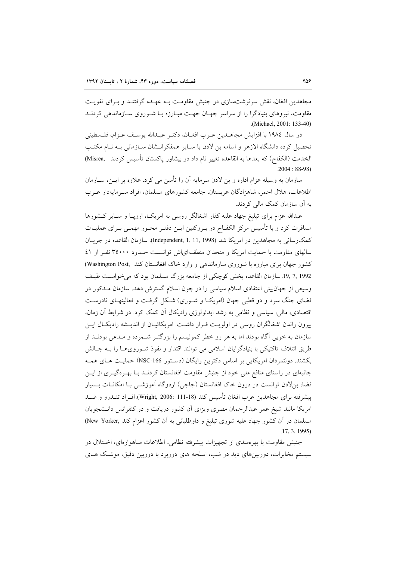مجاهدین افغان، نقش سرنوشتسازی در جنبش مقاومت بـه عهـده گرفتنـد و بـرای تقویـت مقاومت، نیروهای بنیادگرا را از سراسر جهـان جهـت مبـارزه بـا شـوروی سـازماندهی کردنـد (Michael, 2001: 133-40)

در سال ١٩٨٤ با افزايش مجاهــدين عــرب افغــان، دكتــر عبــدالله يوســف عــزام، فلــسطيني تحصیل کرده دانشگاه الازهر و اسامه بن لادن با سـایر همفکرانــشان ســازمانی بــه نــام مکتــب الخدمت (الكفاح) كه بعدها به القاعده تغيير نام داد در بيشاور ياكستان تأسيس كردند .Misrea)  $.2004:88-98$ 

سازمان به وسیله عزام اداره و بن لادن سرمایه آن را تأمین می کرد. علاوه بر ایــن، ســازمان اطلاعات، هلال احمر، شاهزادگان عربستان، جامعه كشورهاى مسلمان، افراد سـرمايهدار عـرب به آن سازمان کمک مالی کردند.

عبدالله عزام برای تبلیغ جهاد علیه کفار اشغالگر روسی به امریک) اروپا و سـایر کـشورها مسافرت کرد و با تأسیس مرکز الکفـاح در بــروکلین ایــن دفتــر محــور مهمــی بــرای عملیــات كمك رساني به مجاهدين در امريكا شد (Independent, 1, 11, 1998). سازمان القاعده در جريـان سالهای مقاومت با حمایت امریکا و متحدان منطقهایاش توانست حـدود ۳٥٠٠٠ نفـر از ٤١ کشور جهان برای مبارزه با شوروی سازماندهی و وارد خاک افغانستان کند .Washington Post) 19, 7, 1992. سازمان القاعده بخش کوچکی از جامعه بزرگ مسلمان بود که می خواست طبیف وسیعی از جهان بینی اعتقادی اسلام سیاسی را در چون اسلام گسترش دهد. سازمان مــذکور در فضای جنگ سرد و دو قطبی جهان (امریک] و شـوری) شـکل گرفـت و فعالیتهـای نادرسـت اقتصادی، مالی، سیاسی و نظامی به رشد ایدئولوژی رادیکال آن کمک کرد. در شرایط آن زمان، بیرون راندن اشغالگران روسی در اولویت قبرار داشت. امریکائیـان از اندیــشه رادیکـال ایــن سازمان به خوبی آگاه بودند اما به هر رو خطر کمونیسم را بزرگتـر شــمرده و مــدعی بودنــد از طريق ائتلاف تاكتيكي با بنيادگرايان اسلامي مي توانند اقتدار و نفوذ شـوروي،هــا را بــه چــالش بکشند. دولتمردان امریکایی بر اساس دکترین رایگان (دستور NSC-166) حمایت هـای همـه جانبهای در راستای منافع ملی خود از جنبش مقاومت افغانستان کردنـد بـا بهـرهگیــری از ایــن فضا، بنلادن توانست در درون خاک افغانستان (جاجی) اردوگاه آموزشمی بـا امکانـات بـسیار ييشرفته براي مجاهدين عرب افغان تأسيس كند (11-111 .Wright, 2006: 111) افـراد تنــدرو و ضــد امریکا مانند شیخ عمر عبدالرحمان مصری ویزای آن کشور دریافت و در کنفرانس دانــشجویان مسلمان در آن کشور جهاد علیه شوری تبلیغ و داوطلبانی به آن کشور اعزام کند .New Yorker)  $.17, 3, 1995$ 

جنبش مقاومت با بهر ممندی از تجهیزات پیشرفته نظامی، اطلاعات مـاهوارهای، اخـتلال در سیستم مخابرات، دوربینهای دید در شب، اسلحه های دوربرد با دوربین دقیق، موشک هـای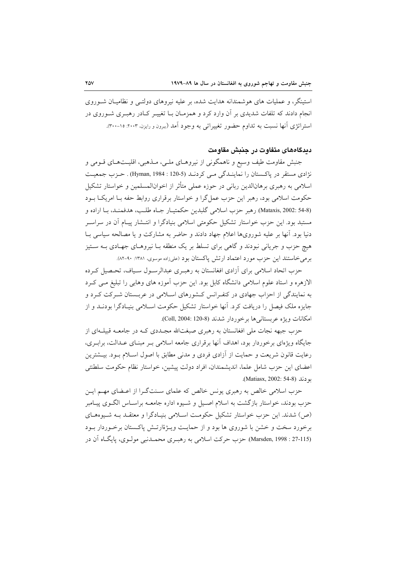استینگر، و عملیات های هوشمندانه هدایت شده، بر علیه نیروهای دولتـی و نظامیـان شـوروی انجام دادند که تلفات شدیدی بر آن وارد کرد و همزمـان بــا تغییــر کــادر رهبــری شــوروی در استراتژی آنها نسبت به تداوم حضور تغییراتی به وجود آمد (ببرون و رایزن، ۲۰۰۳: ۲۰۰–۳۰۰).

### دیدگاههای متفاوت در جنبش مقاومت

جنبش مقاومت طيف وسيع و ناهمگوني از نيروهـاي ملـي، مــذهبي، اقليــتهـاي قــومي و نژادی مستقر در پاکستان را نماینـدگی مـی کردنـد (120-5 : Hyman, 1984) . حـزب جمعیـت اسلامی به رهبری برهانالدین ربانی در حوزه عملی متأثر از اخوانالمسلمین و خواستار تشکیل حکومت اسلامی بود، رهبر این حزب عمل گرا و خواستار برقراری روابط حفه بـا امریکـا بــود (Mataxis, 2002: 54-8). رهبر حزب اسلامي گلبدين حكمتيـار جـاه طلـب، هدفمنـد، بـا اراده و مستبد بود. این حزب خواستار تشکیل حکومتی اسلامی بنیادگرا و انتــشار پیــام آن در سراســر دنیا بود. آنها بر علیه شورویها اعلام جهاد دادند و حاضر به مشارکت و یا مصالحه سیاسی بـا هیچ حزب و جریانی نبودند و گاهی برای تسلط بر یک منطقه بـا نیروهـای جهـادی بـه سـتیز برمیخاستند این حزب مورد اعتماد ارتش پاکستان بود (علیزاده موسوی، ۱۳۸۱: ۹۰-۸۲).

حزب اتحاد اسلامی برای آزادی افغانستان به رهب ی عبدالرسول سیاف، تحـصیل کـرده الازهره و استاد علوم اسلامی دانشگاه کابل بود. این حزب آموزه های وهابی را تبلیغ مـی کـرد به نمایندگی از احزاب جهادی در کنفـرانس کـشورهای اسـلامی در عربـستان شـرکت کـرد و جایزه ملک فیصل را دریافت کرد. آنها خواستار تشکیل حکومت اسـلامی بنیـادگرا بودنــد و از امكانات ويژه عربستاني ها برخوردار شدند (Coll, 2004: 120-8).

حزب جبهه نجات ملی افغانستان به رهبری صبغتالله مجـددی کـه در جامعــه قبیلــهای از جایگاه ویژهای برخوردار بود، اهداف آنها برقراری جامعه اسلامی بـر مبنـای عـدالت، برابـری، رعایت قانون شریعت و حمایت از آزادی فردی و مدنی مطابق با اصول اسـلام بـود. بیــشترین اعضاى اين حزب شامل علما، انديشمندان، افراد دولت پيشين، خواستار نظام حكومت سلطنتي بو دند (Matiasx, 2002: 54-8).

حزب اسلامی خالص به رهبری یونس خالص که علمای سـنتگـرا از اعـضای مهـم ایـن حزب بودند، خواستار بازگشت به اسلام اصـیل و شـیوه اداره جامعــه براســاس الگــوی پیــامبر (ص) شدند. این حزب خواستار تشکیل حکومت اسلامی بنیادگرا و معتقلد بـه شـیوههـای برخورد سخت و خشن با شوروی ها بود و از حمایت ویـژۀارتـش پاکـستان برخـوردار بـود (Marsden, 1998 : 27-115). حزب حركت اسلامي به رهبـري محمــدنبي مولــوي، پايگــاه آن در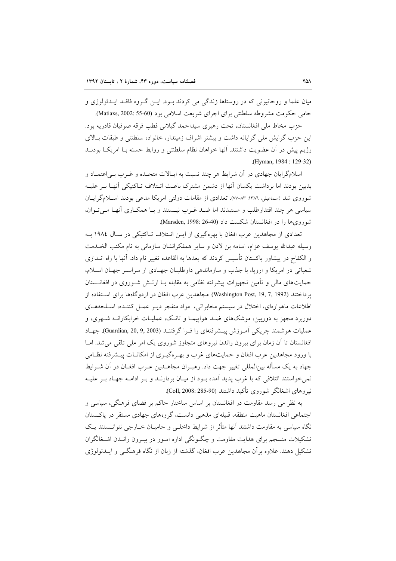میان علما و روحانیونی که در روستاها زندگی می کردند بود. ایــن گــروه فاقــد ایــدئولوژی و حامي حكومت مشروطه سلطنتي براي اجراي شريعت اسلامي بود (Matiaxs, 2002: 55-60).

حزب مخاط ملي افغانستان، تحت رهبري سيداحمد گيلاني قطب فرقه صوفيان قادريه بود. این حزب گرایش ملی گرایانه داشت و بیشتر اشراف زمیندار، خانواده سلطنتی و طبقات بـالای رژیم پیش در آن عضویت داشتند. آنها خواهان نظام سلطنتی و روابط حسنه بـا امریکـا بودنــد .(Hyman, 1984: 129-32)

اسلامگرایان جهادی در آن شرایط هر چند نسبت به ایـالات متحـده و غـرب بــی|عتمــاد و بدبین بودند اما برداشت یکسان آنها از دشمن مشترک باعـث ائـتلاف تــاکتیکی آنهــا بــر علیــه شوروی شد (اسماعیلی، ۱۳۸٦: ۸۳-۷۷). تعدادی از مقامات دولتی امریکا مدعی بودند اسلامگرایـان سیاسی هر چند اقتدارطلب و مستبدند اما ضـد غـرب نیـستند و بـا همکـاری آنهـا مـیتـوان، شورویها را در افغانستان شکست داد (Marsden, 1998: 26-40).

تعدادی از مجاهدین عرب افغان با بهرهگیری از ایـن ائـتلاف تـاکتیکی در سـال ١٩٨٤ بـه وسيله عبدالله يوسف عزام، اسامه بن لادن و ساير همفكرانشان سازماني به نام مكتب الخـدمت و الکفاح در پیشاور پاکستان تأسیس کردند که بعدها به القاعده تغییر نام داد. آنها با راه انــدازی شعباتی در امریکا و اروپا، با جذب و سازماندهی داوطلبـان جهـادی از سراسـر جهـان اسـلام، حمایتهای مالی و تأمین تجهیزات پیشرفته نظامی به مقابله بـا ارتـش شــوروی در افغانــستان پرداختند (Washington Post, 19, 7, 1992). مجاهدین عرب افغان در اردوگاهها برای استفاده از اطلاعات ماهوارهای، اختلال در سیستم مخابراتی، مواد منفجر دیـر عمـل کننـده، اسـلحههـای دوربرد مجهز به دوربین، موشکهای ضد هواپیمـا و تانـک، عملیـات خرابکارانـه شـهری، و عملیات هوشمند چریکی اَمـوزش پیــشرفتهای را فـرا گرفتنــد (Guardian, 20, 9, 2003). جهـاد افغانستان تا آن زمان برای بیرون راندن نیروهای متجاوز شوروی یک امر ملی تلقی می شد. امـا با ورود مجاهدین عرب افغان و حمایتهای غرب و بهـرهگیـری از امکانــات پیــشرفته نظــامی جهاد به یک مسأله بین|لمللی تغییر جهت داد. رهبـران مجاهــدین عـرب افغــان در آن شــرایط نمی خواستند ائتلافی که با غرب پدید آمده بود از میـان بردارنــد و بـر ادامــه جهـاد بـر علیــه نيروهاي اشغالگر شوروي تأكيد داشتند (Coll, 2008: 285-90).

به نظر می رسد مقاومت در افغانستان بر اساس ساختار حاکم بر فضای فرهنگی، سیاسی و اجتماعی افغانستان ماهیت منطقه، قبیلهای مذهبی دانست، گروههای جهادی مستقر در یاکستان نگاه سیاسی به مقاومت داشتند آنها متأثر از شرایط داخلبی و حامیـان خــارجی نتوانــستند یـک تشکیلات منسجم برای هدایت مقاومت و چگونگی اداره امـور در بیـرون رانـدن اشـغالگران تشکیل دهند. علاوه بر آن مجاهدین عرب افغان، گذشته از زبان از نگاه فرهنگبی و ایــدئولوژی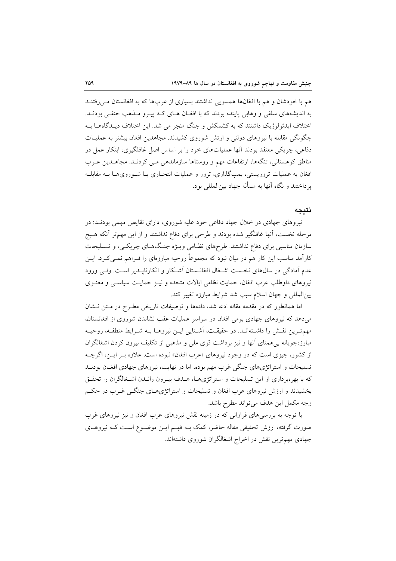هم با خودشان و هم با افغانها همسويي نداشتند بسياري از عربها كه به افغانستان مى رفتنـد به اندیشههای سلفی و وهابی پاینده بودند که با افغـان هـای کـه پیـرو مـذهب حنفـی بودنـد. اختلاف ایدئولوژیک داشتند که به کشمکش و جنگ منجر می شد. این اختلاف دیـدگاههــا بــه چگونگی مقابله با نیروهای دولتی و ارتش شوروی کشیدند. مجاهدین افغان بیشتر به عملیـات دفاعی، چریکی معتقد بودند آنها عملیاتهای خود را بر اساس اصل غافلگیری، ابتکار عمل در مناطق کوهستانی، تنگهها، ارتفاعات مهم و روستاها سازماندهی مـی کردنـد. مجاهــدین عـرب افغان به عملیات تروریستی، بمبگذاری، ترور و عملیات انتحـاری بـا شـورویهـا بــه مقابلــه ير داختند و نگاه آنها به مسأله جهاد بين|لمللي بود.

#### نتىجە

نیروهای جهادی در خلال جهاد دفاعی خود علیه شوروی، دارای نقایص مهمی بودنـد: در مرحله نخست، آنها غافلگیر شده بودند و طرحی برای دفاع نداشتند و از این مهمتر آنکه هـیچ سازمان مناسبی برای دفاع نداشتند. طرحهای نظـامی ویـژه جنـگهـای چریکـی، و تـسلیحات کارآمد مناسب این کار هم در میان نبود که مجموعاً روحیه مبارزمای را فـراهم نمـی کـرد. ایــن عدم آمادگی در سالهای نخست اشـغال افغانـستان آشـكار و انكارناپــذير اسـت. ولـی ورود نیروهای داوطلب عرب افغان، حمایت نظامی ایالات متحده و نیـز حمایـت سیاسـی و معنـوی بین المللی و جهان اسلام سبب شد شرایط مبارزه تغییر کند.

اما همانطور که در مقدمه مقاله ادعا شد، دادهها و توصیفات تاریخی مطـرح در مـتن نـشان میدهد که نیروهای جهادی بومی افغان در سراسر عملیات عقب نشاندن شوروی از افغانستان، مهم تـرين نقـش را داشـتهانـد. در حقيقـت، آشـنايي ايـن نيروهـا بـه شـرايط منطقـه، روحيـه مبارزهجویانه بر همتای آنها و نیز برداشت قوی ملی و مذهبی از تکلیف بیرون کردن اشغالگران از کشور، چیزی است که در وجود نیروهای «عرب افغان» نبوده است. علاوه بـر ایـن، اگرچــه تسلیحات و استراتژیهای جنگی غرب مهم بوده، اما در نهایت، نیروهای جهادی افغـان بودنــد که با بهرهبرداری از این تسلیحات و استراتژیهها، هـدف بیـرون رانـدن اشـغالگران را تحقـق بخشیدند و ارزش نیروهای عرب افغان و تسلیحات و استراتژیهـای جنگـی غـرب در حکـم وجه مكمل اين هدف مي تواند مطرح باشد.

با توجه به بررسی های فراوانی که در زمینه نقش نیروهای عرب افغان و نیز نیروهای غرب صورت گرفته، ارزش تحقیقی مقاله حاضر، کمک بــه فهــم ایــن موضــوع اســت کــه نیروهــای جهادی مهم ترین نقش در اخراج اشغالگران شوروی داشتهاند.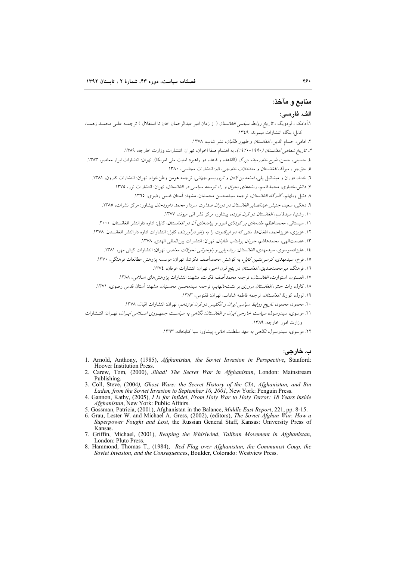## منابع و مآخذ:

#### الف. فارسے:

۱.اّدامک ، لودویگ ، *تاریخ روابط سیاسی افغانستان* ( از زمان امیر عبدالرحمان خان تا استقلال ) ترجمــه علــی محمــد زهمــا، کابل: بنگاه انتشارات میموند، ۱۳٤۹. ٢. امامي، حسام الدين، *افغانستان و ظهور طالبان*، نشر شاب، ١٣٧٨. ٣. تاريخ شفاهي افغانستان (١٩٩٠-١٩٢٠)، به اهتمام صفا اخوان، تهران: انتشارات وزارت خارجه، ١٣٨٩. ٤. حسینی، حسن، *طرح خاورمیانه بزرگ* (القاعده و قاعده دو راهبرد امنیت مل<sub>ی</sub> امریکا). تهران: انتشارات ابرار معاصر، ١٣٨٣. ٥. حق جو ، ميرأقا، *افغانستان و مداخلات خارجي*، قم: انتشارات مجلسي، ١٣٨٠. ٦. خالد، دوران و میشائیل یلی، *اسامه بن لادن و تروریسم جهانی*، ترجمه هومن وطن خواه، تهران: انتشارات کارون، ١٣٨١. ۷. دانش بختیاری، محمدقاسم، ر*یشههای بحران و راه توسعه سیاسی در افغانستان*، تهران: انتشارات نور، ۱۳۷۵. ٨ دتيل ويلهلم، *گذرگاه افغانستان*، ترجمه سيدمحسن محسنيان، مشهد: آستان قدس رضوي، ١٣٦٥.

۹. دهکی، سعید، جنب*ش عبدالصابر افغانستان در دوران صدارت سردار محمد داوودخان* پیشاور: مرکز نشرات، ۱۳۸۵.

۱۰. رشتیا، سیدقاسم، *افغانستان در قرن نوزده*، پیشاور، مرکز نشر ات<sub>ی</sub> میوند، ۱۳۷۷.

۱۱. سیستانی، محمداعظم، *مقدمهای بر کودتای شور و پیامدهای آن در افغانستان*، کابل: اداره دارالنشر افغانستان، ۲۰۰۰.

۱۲. عزیزی، عزیزاحمد، افغانها، *ملتی که دو ابرقدرت را به زانو درآوردند*، کابل: انتشارات اداره دارالنشر افغانستان، ۱۳۷۸.

۱۳. عصمتالهی، محمدهاشم، جري*ان يرشتاب طالبان*، تهران: انتشارات بينالمللي الهدي، ۱۳۷۸.

۱٤. علیزادهموسوی، سیدمهدی، *افغانستان: ریشه یابی و بازخوانی تحولات معاصر*، تهران: انتشارات کیش مهر، ۱۳۸۱.

ه۱. فرخ، سیدمهدی، *کرسی نشین کابل*، به کوشش محمدآصف فکرشا، تهران: موسسه پژوهش مطالعات فرهنگی، ۱۳۷۰.

۱٦. فرهنگ، میرمحمدصدیق، *افغانستان در پنج قرن اخیر*، تهران: انتشارات عرفان، ۱۳۷٤.

١٧. الفستون، استوارت، *افغانستان*، ترجمه محمداَصف فكرت، مشهد: انتشارات يژوهشهاى اسلامى، ١٣٨٨.

۱۸. کارل، رات جنتز، *افغانستان مروری بر نشتمانهایم*، ترجمه سیدمحسن محسنیان، مشهد: آستان قدس رضوی، ۱۳۷۱.

۱۹. لورل، كورنا، *افغانستان*، ترجمه فاطمه شاداب، تهران: ققنوس، ۱۳۸۳.

۲۰. محمود، محمود، ت*اریخ روابط سیاسی ایران و انگلیس در قرن نوزدهم*، تهران: انتشارات اقبال، ۱۳۷۸.

۲۱. موسوی، سیدرسول، *سیاست خارجی ایران و افغانستان: نگاهی به سیاس*ت *جمهـوری اسـلامی ایـران*، تهـران: انتـشارات وزارت امور خارجه، ۱۳۸۹.

۲۲. موسوی، سیدرسول، *نگاه<sub>ی</sub> به عهد سلطنت امانی،* پیشاور: سبا کتابخانه، ۱۳**٦**۳.

ب. خارجي:

- 1. Arnold, Anthony, (1985), Afghanistan, the Soviet Invasion in Perspective, Stanford: Hoover Institution Press
- 2. Carew, Tom, (2000), Jihad! The Secret War in Afghanistan, London: Mainstream Publishing.
- 3. Coll, Steve, (2004), Ghost Wars: the Secret History of the CIA, Afghanistan, and Bin Laden, from the Soviet Invasion to September 10, 2001. New York: Penguin Press.
- 4. Gannon, Kathy, (2005), I Is for Infidel, From Holy War to Holy Terror: 18 Years inside Afghanistan, New York: Public Affairs.
- 5. Gossman, Patricia, (2001), Afghanistan in the Balance, Middle East Report, 221, pp. 8-15.
- 6. Grau, Lester W. and Michael A. Gress, (2002), (editors), The Soviet-Afghan War, How a Superpower Fought and Lost, the Russian General Staff, Kansas: University Press of Kansas.
- 7. Griffin, Michael, (2001), Reaping the Whirlwind, Taliban Movement in Afghanistan, London: Pluto Press.
- 8. Hammond, Thomas T., (1984), Red Flag over Afghanistan, the Communist Coup, the Soviet Invasion, and the Consequences, Boulder, Colorado: Westview Press.